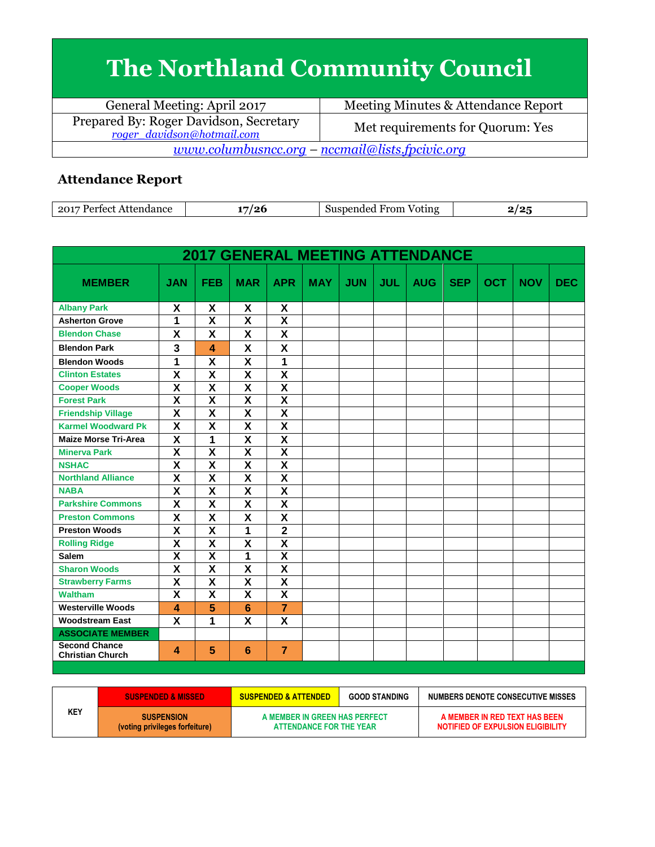## **The Northland Community Council**

| General Meeting: April 2017                                          | Meeting Minutes & Attendance Report |  |  |  |  |  |
|----------------------------------------------------------------------|-------------------------------------|--|--|--|--|--|
| Prepared By: Roger Davidson, Secretary<br>roger davidson@hotmail.com | Met requirements for Quorum: Yes    |  |  |  |  |  |
| $\underline{www.columbusncc.org - nccmail@lists.fpcivic.org}$        |                                     |  |  |  |  |  |

## **Attendance Report**

| .2017<br>$D$ orto.<br>.iancc<br>$\alpha$<br>. | From<br>Voting<br>nendec<br>וור |  |
|-----------------------------------------------|---------------------------------|--|

| <b>2017 GENERAL MEETING ATTENDANCE</b>          |                         |                           |                           |                         |            |            |            |            |            |            |            |            |
|-------------------------------------------------|-------------------------|---------------------------|---------------------------|-------------------------|------------|------------|------------|------------|------------|------------|------------|------------|
| <b>MEMBER</b>                                   | <b>JAN</b>              | <b>FEB</b>                | <b>MAR</b>                | <b>APR</b>              | <b>MAY</b> | <b>JUN</b> | <b>JUL</b> | <b>AUG</b> | <b>SEP</b> | <b>OCT</b> | <b>NOV</b> | <b>DEC</b> |
| <b>Albany Park</b>                              | X                       | X                         | X                         | X                       |            |            |            |            |            |            |            |            |
| <b>Asherton Grove</b>                           | 1                       | $\overline{\mathsf{x}}$   | $\overline{\mathsf{x}}$   | $\overline{\mathsf{x}}$ |            |            |            |            |            |            |            |            |
| <b>Blendon Chase</b>                            | X                       | X                         | X                         | X                       |            |            |            |            |            |            |            |            |
| <b>Blendon Park</b>                             | 3                       | 4                         | X                         | X                       |            |            |            |            |            |            |            |            |
| <b>Blendon Woods</b>                            | 1                       | $\overline{\mathbf{x}}$   | $\overline{\mathsf{x}}$   | 1                       |            |            |            |            |            |            |            |            |
| <b>Clinton Estates</b>                          | $\overline{\mathsf{x}}$ | $\overline{\mathsf{x}}$   | $\overline{\mathbf{X}}$   | $\overline{\textsf{x}}$ |            |            |            |            |            |            |            |            |
| <b>Cooper Woods</b>                             | X                       | X                         | $\boldsymbol{\mathsf{X}}$ | $\overline{\mathbf{x}}$ |            |            |            |            |            |            |            |            |
| <b>Forest Park</b>                              | $\overline{\mathbf{x}}$ | $\overline{\mathbf{X}}$   | $\overline{\mathsf{x}}$   | $\overline{\mathsf{x}}$ |            |            |            |            |            |            |            |            |
| <b>Friendship Village</b>                       | $\overline{\mathsf{x}}$ | $\overline{\mathsf{x}}$   | $\overline{\mathsf{x}}$   | $\overline{\mathsf{x}}$ |            |            |            |            |            |            |            |            |
| <b>Karmel Woodward Pk</b>                       | X                       | $\boldsymbol{\mathsf{X}}$ | X                         | $\overline{\textsf{x}}$ |            |            |            |            |            |            |            |            |
| <b>Maize Morse Tri-Area</b>                     | $\overline{\textsf{x}}$ | $\overline{1}$            | $\overline{\mathsf{x}}$   | $\overline{\textsf{x}}$ |            |            |            |            |            |            |            |            |
| <b>Minerva Park</b>                             | $\overline{\mathbf{x}}$ | $\overline{\mathbf{x}}$   | $\overline{\mathbf{X}}$   | $\overline{\mathbf{X}}$ |            |            |            |            |            |            |            |            |
| <b>NSHAC</b>                                    | $\overline{\textsf{x}}$ | $\overline{\textsf{x}}$   | $\overline{\textsf{x}}$   | $\overline{\textsf{x}}$ |            |            |            |            |            |            |            |            |
| <b>Northland Alliance</b>                       | $\overline{\textsf{x}}$ | $\overline{\mathsf{x}}$   | $\overline{\mathsf{x}}$   | $\overline{\textsf{x}}$ |            |            |            |            |            |            |            |            |
| <b>NABA</b>                                     | $\overline{\textsf{x}}$ | $\overline{\mathsf{x}}$   | $\overline{\mathsf{x}}$   | $\overline{\textsf{x}}$ |            |            |            |            |            |            |            |            |
| <b>Parkshire Commons</b>                        | $\overline{\mathsf{x}}$ | X                         | X                         | $\overline{\mathsf{x}}$ |            |            |            |            |            |            |            |            |
| <b>Preston Commons</b>                          | X                       | X                         | X                         | X                       |            |            |            |            |            |            |            |            |
| <b>Preston Woods</b>                            | X                       | $\overline{\mathbf{X}}$   | 1                         | $\overline{\mathbf{2}}$ |            |            |            |            |            |            |            |            |
| <b>Rolling Ridge</b>                            | $\overline{\mathsf{x}}$ | $\overline{\mathbf{X}}$   | $\overline{\mathbf{X}}$   | $\overline{\mathsf{x}}$ |            |            |            |            |            |            |            |            |
| Salem                                           | $\overline{\textsf{x}}$ | $\overline{\textsf{x}}$   | 1                         | $\overline{\textsf{x}}$ |            |            |            |            |            |            |            |            |
| <b>Sharon Woods</b>                             | $\overline{\textsf{x}}$ | $\overline{\mathsf{x}}$   | $\overline{\mathsf{x}}$   | $\overline{\textsf{x}}$ |            |            |            |            |            |            |            |            |
| <b>Strawberry Farms</b>                         | $\overline{\mathbf{x}}$ | $\overline{\mathbf{X}}$   | $\overline{\mathbf{X}}$   | $\overline{\mathsf{x}}$ |            |            |            |            |            |            |            |            |
| <b>Waltham</b>                                  | $\overline{\mathsf{x}}$ | $\overline{\mathsf{x}}$   | $\overline{\mathsf{x}}$   | $\overline{\textsf{x}}$ |            |            |            |            |            |            |            |            |
| <b>Westerville Woods</b>                        | 4                       | 5                         | 6                         | $\overline{7}$          |            |            |            |            |            |            |            |            |
| <b>Woodstream East</b>                          | X                       | 1                         | X                         | $\overline{\mathsf{x}}$ |            |            |            |            |            |            |            |            |
| <b>ASSOCIATE MEMBER</b>                         |                         |                           |                           |                         |            |            |            |            |            |            |            |            |
| <b>Second Chance</b><br><b>Christian Church</b> | 4                       | 5                         | 6                         | $\overline{7}$          |            |            |            |            |            |            |            |            |

|  |     | <b>SUSPENDED &amp; MISSED</b>                       | <b>SUSPENDED &amp; ATTENDED</b>                          | <b>GOOD STANDING</b> | NUMBERS DENOTE CONSECUTIVE MISSES                                  |
|--|-----|-----------------------------------------------------|----------------------------------------------------------|----------------------|--------------------------------------------------------------------|
|  | KEY | <b>SUSPENSION</b><br>(voting privileges forfeiture) | A MEMBER IN GREEN HAS PERFECT<br>ATTENDANCE FOR THE YEAR |                      | A MEMBER IN RED TEXT HAS BEEN<br>NOTIFIED OF EXPULSION ELIGIBILITY |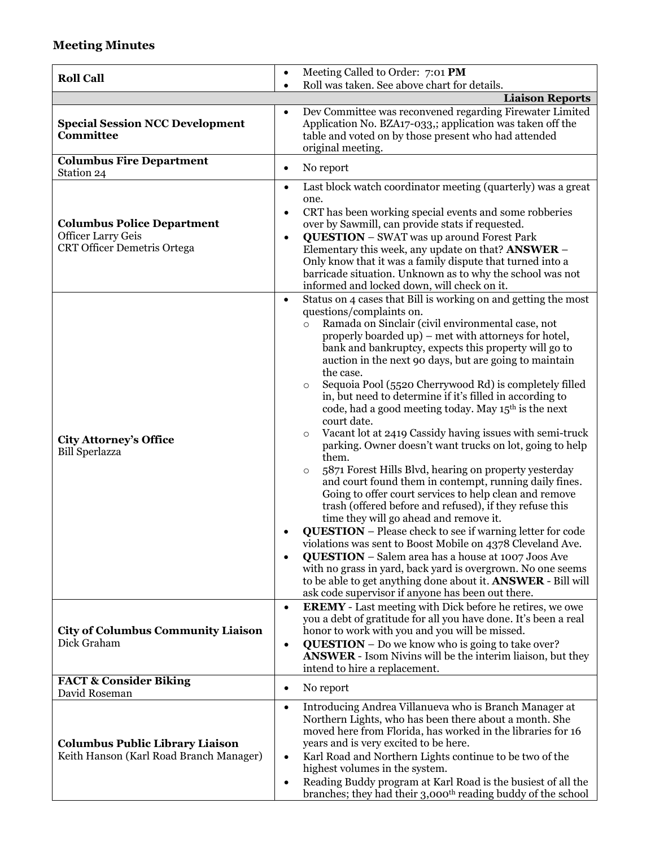## **Meeting Minutes**

| <b>Roll Call</b>                                                                                     | Meeting Called to Order: 7:01 PM<br>$\bullet$                                                                                                                                                                                                                                                                                                                                                                                                                                                                                                                                                                                                                                                                                                                                                                                                                                                                                                                                                                                                                                                                                                                                                                                                                                                                                                                                                                   |  |  |  |  |
|------------------------------------------------------------------------------------------------------|-----------------------------------------------------------------------------------------------------------------------------------------------------------------------------------------------------------------------------------------------------------------------------------------------------------------------------------------------------------------------------------------------------------------------------------------------------------------------------------------------------------------------------------------------------------------------------------------------------------------------------------------------------------------------------------------------------------------------------------------------------------------------------------------------------------------------------------------------------------------------------------------------------------------------------------------------------------------------------------------------------------------------------------------------------------------------------------------------------------------------------------------------------------------------------------------------------------------------------------------------------------------------------------------------------------------------------------------------------------------------------------------------------------------|--|--|--|--|
|                                                                                                      | Roll was taken. See above chart for details.                                                                                                                                                                                                                                                                                                                                                                                                                                                                                                                                                                                                                                                                                                                                                                                                                                                                                                                                                                                                                                                                                                                                                                                                                                                                                                                                                                    |  |  |  |  |
|                                                                                                      | <b>Liaison Reports</b>                                                                                                                                                                                                                                                                                                                                                                                                                                                                                                                                                                                                                                                                                                                                                                                                                                                                                                                                                                                                                                                                                                                                                                                                                                                                                                                                                                                          |  |  |  |  |
| <b>Special Session NCC Development</b><br>Committee                                                  | Dev Committee was reconvened regarding Firewater Limited<br>$\bullet$<br>Application No. BZA17-033,; application was taken off the<br>table and voted on by those present who had attended<br>original meeting.                                                                                                                                                                                                                                                                                                                                                                                                                                                                                                                                                                                                                                                                                                                                                                                                                                                                                                                                                                                                                                                                                                                                                                                                 |  |  |  |  |
| <b>Columbus Fire Department</b><br>Station 24                                                        | No report<br>$\bullet$                                                                                                                                                                                                                                                                                                                                                                                                                                                                                                                                                                                                                                                                                                                                                                                                                                                                                                                                                                                                                                                                                                                                                                                                                                                                                                                                                                                          |  |  |  |  |
| <b>Columbus Police Department</b><br><b>Officer Larry Geis</b><br><b>CRT Officer Demetris Ortega</b> | Last block watch coordinator meeting (quarterly) was a great<br>$\bullet$<br>one.<br>CRT has been working special events and some robberies<br>$\bullet$<br>over by Sawmill, can provide stats if requested.<br><b>QUESTION</b> - SWAT was up around Forest Park<br>$\bullet$<br>Elementary this week, any update on that? ANSWER -<br>Only know that it was a family dispute that turned into a<br>barricade situation. Unknown as to why the school was not<br>informed and locked down, will check on it.                                                                                                                                                                                                                                                                                                                                                                                                                                                                                                                                                                                                                                                                                                                                                                                                                                                                                                    |  |  |  |  |
| <b>City Attorney's Office</b><br><b>Bill Sperlazza</b>                                               | Status on 4 cases that Bill is working on and getting the most<br>$\bullet$<br>questions/complaints on.<br>Ramada on Sinclair (civil environmental case, not<br>$\circ$<br>properly boarded up) - met with attorneys for hotel,<br>bank and bankruptcy, expects this property will go to<br>auction in the next 90 days, but are going to maintain<br>the case.<br>Sequoia Pool (5520 Cherrywood Rd) is completely filled<br>$\circ$<br>in, but need to determine if it's filled in according to<br>code, had a good meeting today. May 15 <sup>th</sup> is the next<br>court date.<br>Vacant lot at 2419 Cassidy having issues with semi-truck<br>$\circ$<br>parking. Owner doesn't want trucks on lot, going to help<br>them.<br>5871 Forest Hills Blvd, hearing on property yesterday<br>$\circ$<br>and court found them in contempt, running daily fines.<br>Going to offer court services to help clean and remove<br>trash (offered before and refused), if they refuse this<br>time they will go ahead and remove it.<br><b>QUESTION</b> - Please check to see if warning letter for code<br>violations was sent to Boost Mobile on 4378 Cleveland Ave.<br>QUESTION - Salem area has a house at 1007 Joos Ave<br>with no grass in yard, back yard is overgrown. No one seems<br>to be able to get anything done about it. <b>ANSWER</b> - Bill will<br>ask code supervisor if anyone has been out there. |  |  |  |  |
| <b>City of Columbus Community Liaison</b><br>Dick Graham                                             | <b>EREMY</b> - Last meeting with Dick before he retires, we owe<br>$\bullet$<br>you a debt of gratitude for all you have done. It's been a real<br>honor to work with you and you will be missed.<br>$QUESTION - Do$ we know who is going to take over?<br>$\bullet$<br><b>ANSWER</b> - Isom Nivins will be the interim liaison, but they<br>intend to hire a replacement.                                                                                                                                                                                                                                                                                                                                                                                                                                                                                                                                                                                                                                                                                                                                                                                                                                                                                                                                                                                                                                      |  |  |  |  |
| <b>FACT &amp; Consider Biking</b><br>David Roseman                                                   | No report<br>$\bullet$                                                                                                                                                                                                                                                                                                                                                                                                                                                                                                                                                                                                                                                                                                                                                                                                                                                                                                                                                                                                                                                                                                                                                                                                                                                                                                                                                                                          |  |  |  |  |
| <b>Columbus Public Library Liaison</b><br>Keith Hanson (Karl Road Branch Manager)                    | Introducing Andrea Villanueva who is Branch Manager at<br>$\bullet$<br>Northern Lights, who has been there about a month. She<br>moved here from Florida, has worked in the libraries for 16<br>years and is very excited to be here.<br>Karl Road and Northern Lights continue to be two of the<br>$\bullet$<br>highest volumes in the system.<br>Reading Buddy program at Karl Road is the busiest of all the<br>$\bullet$<br>branches; they had their 3,000 <sup>th</sup> reading buddy of the school                                                                                                                                                                                                                                                                                                                                                                                                                                                                                                                                                                                                                                                                                                                                                                                                                                                                                                        |  |  |  |  |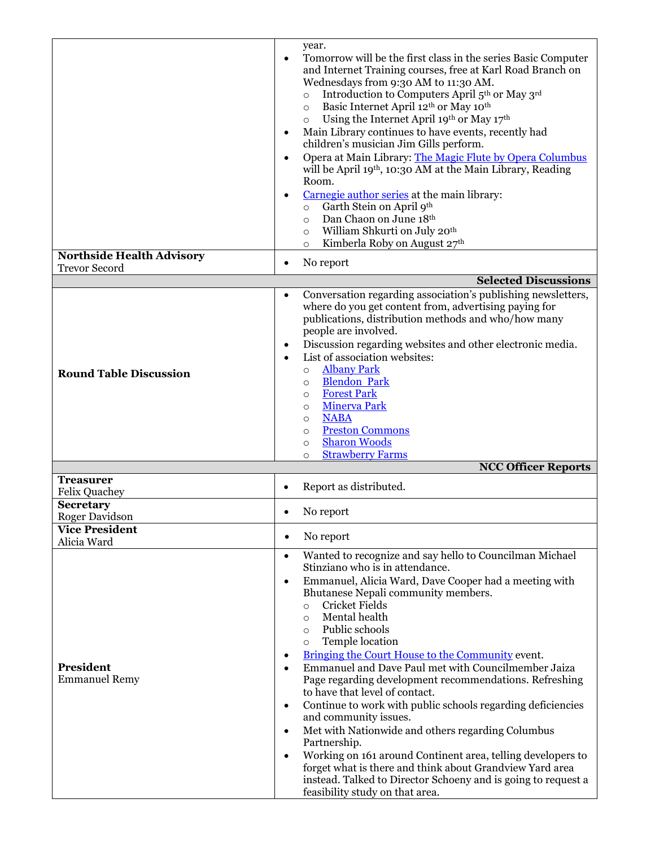|                                          | year.                                                                                                                                    |
|------------------------------------------|------------------------------------------------------------------------------------------------------------------------------------------|
|                                          | Tomorrow will be the first class in the series Basic Computer<br>$\bullet$<br>and Internet Training courses, free at Karl Road Branch on |
|                                          | Wednesdays from 9:30 AM to 11:30 AM.                                                                                                     |
|                                          | Introduction to Computers April 5 <sup>th</sup> or May 3 <sup>rd</sup><br>$\circ$                                                        |
|                                          | Basic Internet April 12th or May 10th<br>$\circ$                                                                                         |
|                                          | Using the Internet April 19th or May 17th<br>$\circ$                                                                                     |
|                                          | Main Library continues to have events, recently had<br>٠<br>children's musician Jim Gills perform.                                       |
|                                          | Opera at Main Library: The Magic Flute by Opera Columbus<br>$\bullet$                                                                    |
|                                          | will be April 19th, 10:30 AM at the Main Library, Reading                                                                                |
|                                          | Room.                                                                                                                                    |
|                                          | Carnegie author series at the main library:<br>$\bullet$                                                                                 |
|                                          | Garth Stein on April 9th<br>$\circ$                                                                                                      |
|                                          | Dan Chaon on June 18th<br>$\circ$                                                                                                        |
|                                          | William Shkurti on July 20th<br>$\circ$<br>Kimberla Roby on August 27th<br>$\circ$                                                       |
| <b>Northside Health Advisory</b>         |                                                                                                                                          |
| <b>Trevor Secord</b>                     | No report<br>٠                                                                                                                           |
|                                          | <b>Selected Discussions</b>                                                                                                              |
|                                          | Conversation regarding association's publishing newsletters,<br>$\bullet$<br>where do you get content from, advertising paying for       |
|                                          | publications, distribution methods and who/how many                                                                                      |
|                                          | people are involved.                                                                                                                     |
|                                          | Discussion regarding websites and other electronic media.<br>٠                                                                           |
|                                          | List of association websites:<br>$\bullet$                                                                                               |
| <b>Round Table Discussion</b>            | <b>Albany Park</b><br>$\circ$                                                                                                            |
|                                          | <b>Blendon Park</b><br>$\circ$                                                                                                           |
|                                          | <b>Forest Park</b><br>$\circ$                                                                                                            |
|                                          | <b>Minerva Park</b><br>$\circ$                                                                                                           |
|                                          |                                                                                                                                          |
|                                          | <b>NABA</b><br>$\circ$                                                                                                                   |
|                                          | <b>Preston Commons</b><br>$\circ$                                                                                                        |
|                                          | <b>Sharon Woods</b><br>$\circ$<br><b>Strawberry Farms</b><br>$\circ$                                                                     |
|                                          | <b>NCC Officer Reports</b>                                                                                                               |
| <b>Treasurer</b>                         | Report as distributed.<br>$\bullet$                                                                                                      |
| <b>Felix Quachey</b><br><b>Secretary</b> |                                                                                                                                          |
| <b>Roger Davidson</b>                    | No report                                                                                                                                |
| <b>Vice President</b>                    | No report<br>$\bullet$                                                                                                                   |
| Alicia Ward                              | $\bullet$                                                                                                                                |
|                                          | Wanted to recognize and say hello to Councilman Michael<br>Stinziano who is in attendance.                                               |
|                                          | Emmanuel, Alicia Ward, Dave Cooper had a meeting with<br>$\bullet$                                                                       |
|                                          | Bhutanese Nepali community members.                                                                                                      |
|                                          | Cricket Fields<br>$\circ$                                                                                                                |
|                                          | Mental health<br>$\circ$                                                                                                                 |
|                                          | Public schools<br>$\circ$                                                                                                                |
|                                          | Temple location<br>$\circ$<br>٠                                                                                                          |
| President                                | Bringing the Court House to the Community event.<br>Emmanuel and Dave Paul met with Councilmember Jaiza<br>$\bullet$                     |
| <b>Emmanuel Remy</b>                     | Page regarding development recommendations. Refreshing                                                                                   |
|                                          | to have that level of contact.                                                                                                           |
|                                          | Continue to work with public schools regarding deficiencies<br>٠                                                                         |
|                                          | and community issues.                                                                                                                    |
|                                          | Met with Nationwide and others regarding Columbus<br>$\bullet$                                                                           |
|                                          | Partnership.                                                                                                                             |
|                                          | Working on 161 around Continent area, telling developers to<br>٠                                                                         |
|                                          | forget what is there and think about Grandview Yard area<br>instead. Talked to Director Schoeny and is going to request a                |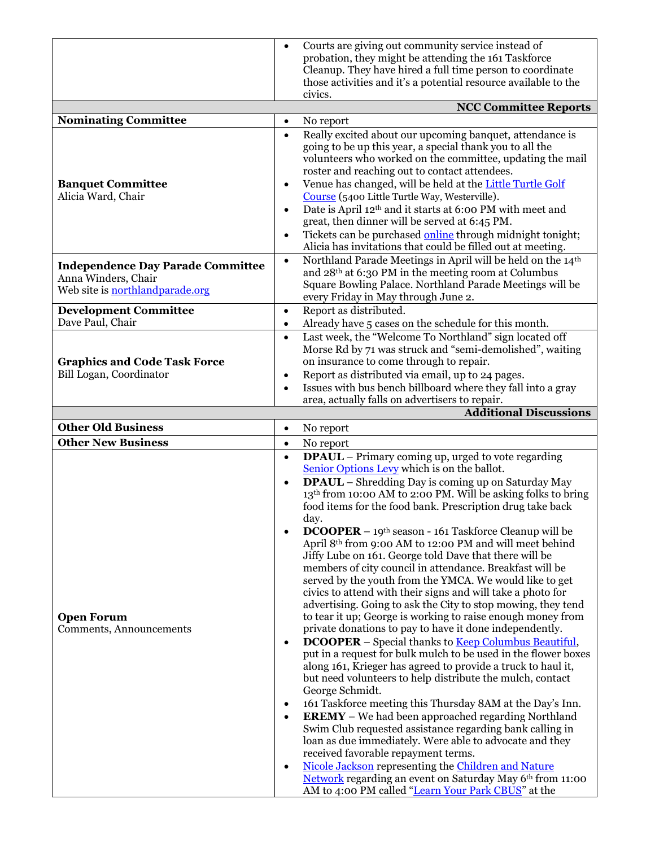|                                                                | $\bullet$              | Courts are giving out community service instead of                                                                          |
|----------------------------------------------------------------|------------------------|-----------------------------------------------------------------------------------------------------------------------------|
|                                                                |                        | probation, they might be attending the 161 Taskforce                                                                        |
|                                                                |                        | Cleanup. They have hired a full time person to coordinate                                                                   |
|                                                                |                        | those activities and it's a potential resource available to the<br>civics.                                                  |
|                                                                |                        | <b>NCC Committee Reports</b>                                                                                                |
| Nominating Committee                                           | $\bullet$              | No report                                                                                                                   |
|                                                                | $\bullet$              | Really excited about our upcoming banquet, attendance is                                                                    |
|                                                                |                        | going to be up this year, a special thank you to all the                                                                    |
|                                                                |                        | volunteers who worked on the committee, updating the mail                                                                   |
|                                                                |                        | roster and reaching out to contact attendees.                                                                               |
| <b>Banquet Committee</b><br>Alicia Ward, Chair                 | $\bullet$              | Venue has changed, will be held at the Little Turtle Golf<br>Course (5400 Little Turtle Way, Westerville).                  |
|                                                                | $\bullet$              | Date is April 12 <sup>th</sup> and it starts at 6:00 PM with meet and                                                       |
|                                                                |                        | great, then dinner will be served at 6:45 PM.                                                                               |
|                                                                | $\bullet$              | Tickets can be purchased online through midnight tonight;                                                                   |
|                                                                |                        | Alicia has invitations that could be filled out at meeting.                                                                 |
| <b>Independence Day Parade Committee</b>                       | $\bullet$              | Northland Parade Meetings in April will be held on the 14th                                                                 |
| Anna Winders, Chair                                            |                        | and 28 <sup>th</sup> at 6:30 PM in the meeting room at Columbus<br>Square Bowling Palace. Northland Parade Meetings will be |
| Web site is northlandparade.org                                |                        | every Friday in May through June 2.                                                                                         |
| <b>Development Committee</b>                                   | $\bullet$              | Report as distributed.                                                                                                      |
| Dave Paul, Chair                                               | $\bullet$              | Already have 5 cases on the schedule for this month.                                                                        |
|                                                                | $\bullet$              | Last week, the "Welcome To Northland" sign located off                                                                      |
|                                                                |                        | Morse Rd by 71 was struck and "semi-demolished", waiting                                                                    |
| <b>Graphics and Code Task Force</b><br>Bill Logan, Coordinator |                        | on insurance to come through to repair.                                                                                     |
|                                                                | $\bullet$<br>$\bullet$ | Report as distributed via email, up to 24 pages.<br>Issues with bus bench billboard where they fall into a gray             |
|                                                                |                        | area, actually falls on advertisers to repair.                                                                              |
|                                                                |                        | <b>Additional Discussions</b>                                                                                               |
| <b>Other Old Business</b>                                      | $\bullet$              | No report                                                                                                                   |
| <b>Other New Business</b>                                      | $\bullet$              | No report                                                                                                                   |
|                                                                | $\bullet$              | <b>DPAUL</b> – Primary coming up, urged to vote regarding                                                                   |
|                                                                |                        | Senior Options Levy which is on the ballot.<br>DPAUL - Shredding Day is coming up on Saturday May                           |
|                                                                | $\bullet$              | 13 <sup>th</sup> from 10:00 AM to 2:00 PM. Will be asking folks to bring                                                    |
|                                                                |                        | food items for the food bank. Prescription drug take back                                                                   |
|                                                                |                        | day.                                                                                                                        |
|                                                                | $\bullet$              | <b>DCOOPER</b> – 19 <sup>th</sup> season - 161 Taskforce Cleanup will be                                                    |
|                                                                |                        | April 8 <sup>th</sup> from 9:00 AM to 12:00 PM and will meet behind                                                         |
|                                                                |                        | Jiffy Lube on 161. George told Dave that there will be<br>members of city council in attendance. Breakfast will be          |
|                                                                |                        | served by the youth from the YMCA. We would like to get                                                                     |
|                                                                |                        | civics to attend with their signs and will take a photo for                                                                 |
|                                                                |                        | advertising. Going to ask the City to stop mowing, they tend                                                                |
| <b>Open Forum</b>                                              |                        | to tear it up; George is working to raise enough money from<br>private donations to pay to have it done independently.      |
| Comments, Announcements                                        | $\bullet$              | <b>DCOOPER</b> – Special thanks to <b>Keep Columbus Beautiful</b> ,                                                         |
|                                                                |                        | put in a request for bulk mulch to be used in the flower boxes                                                              |
|                                                                |                        | along 161, Krieger has agreed to provide a truck to haul it,                                                                |
|                                                                |                        | but need volunteers to help distribute the mulch, contact                                                                   |
|                                                                |                        | George Schmidt.                                                                                                             |
|                                                                | $\bullet$<br>$\bullet$ | 161 Taskforce meeting this Thursday 8AM at the Day's Inn.<br><b>EREMY</b> – We had been approached regarding Northland      |
|                                                                |                        | Swim Club requested assistance regarding bank calling in                                                                    |
|                                                                |                        | loan as due immediately. Were able to advocate and they                                                                     |
|                                                                |                        | received favorable repayment terms.                                                                                         |
|                                                                | $\bullet$              | Nicole Jackson representing the Children and Nature                                                                         |
|                                                                |                        | Network regarding an event on Saturday May 6th from 11:00                                                                   |